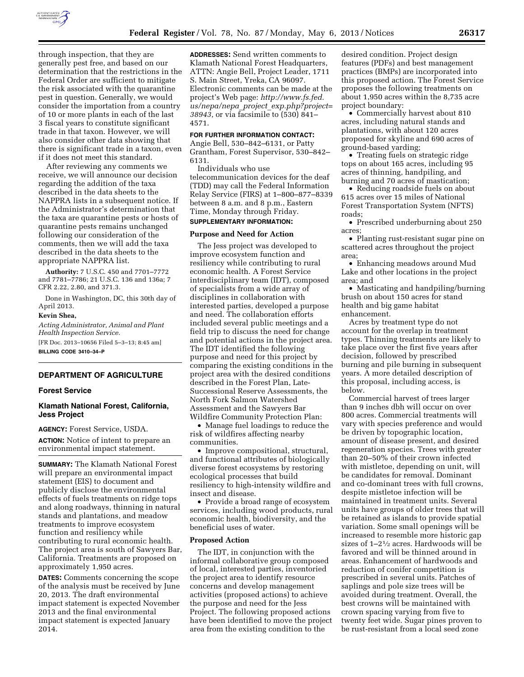

through inspection, that they are generally pest free, and based on our determination that the restrictions in the Federal Order are sufficient to mitigate the risk associated with the quarantine pest in question. Generally, we would consider the importation from a country of 10 or more plants in each of the last 3 fiscal years to constitute significant trade in that taxon. However, we will also consider other data showing that there is significant trade in a taxon, even if it does not meet this standard.

After reviewing any comments we receive, we will announce our decision regarding the addition of the taxa described in the data sheets to the NAPPRA lists in a subsequent notice. If the Administrator's determination that the taxa are quarantine pests or hosts of quarantine pests remains unchanged following our consideration of the comments, then we will add the taxa described in the data sheets to the appropriate NAPPRA list.

**Authority:** 7 U.S.C. 450 and 7701–7772 and 7781–7786; 21 U.S.C. 136 and 136a; 7 CFR 2.22, 2.80, and 371.3.

Done in Washington, DC, this 30th day of April 2013.

## **Kevin Shea,**

*Acting Administrator, Animal and Plant Health Inspection Service.*  [FR Doc. 2013–10656 Filed 5–3–13; 8:45 am] **BILLING CODE 3410–34–P** 

### **DEPARTMENT OF AGRICULTURE**

### **Forest Service**

## **Klamath National Forest, California, Jess Project**

**AGENCY:** Forest Service, USDA.

**ACTION:** Notice of intent to prepare an environmental impact statement.

**SUMMARY:** The Klamath National Forest will prepare an environmental impact statement (EIS) to document and publicly disclose the environmental effects of fuels treatments on ridge tops and along roadways, thinning in natural stands and plantations, and meadow treatments to improve ecosystem function and resiliency while contributing to rural economic health. The project area is south of Sawyers Bar, California. Treatments are proposed on approximately 1,950 acres.

**DATES:** Comments concerning the scope of the analysis must be received by June 20, 2013. The draft environmental impact statement is expected November 2013 and the final environmental impact statement is expected January 2014.

**ADDRESSES:** Send written comments to Klamath National Forest Headquarters, ATTN: Angie Bell, Project Leader, 1711 S. Main Street, Yreka, CA 96097. Electronic comments can be made at the project's Web page: *[http://www.fs.fed.](http://www.fs.fed.us/nepa/nepa_project_exp.php?project=38943) us/nepa/nepa*\_*project*\_*[exp.php?project=](http://www.fs.fed.us/nepa/nepa_project_exp.php?project=38943) [38943](http://www.fs.fed.us/nepa/nepa_project_exp.php?project=38943)*, or via facsimile to (530) 841– 4571.

## **FOR FURTHER INFORMATION CONTACT:**

Angie Bell, 530–842–6131, or Patty Grantham, Forest Supervisor, 530–842– 6131.

Individuals who use telecommunication devices for the deaf (TDD) may call the Federal Information Relay Service (FIRS) at 1–800–877–8339 between 8 a.m. and 8 p.m., Eastern Time, Monday through Friday.

## **SUPPLEMENTARY INFORMATION:**

### **Purpose and Need for Action**

The Jess project was developed to improve ecosystem function and resiliency while contributing to rural economic health. A Forest Service interdisciplinary team (IDT), composed of specialists from a wide array of disciplines in collaboration with interested parties, developed a purpose and need. The collaboration efforts included several public meetings and a field trip to discuss the need for change and potential actions in the project area. The IDT identified the following purpose and need for this project by comparing the existing conditions in the project area with the desired conditions described in the Forest Plan, Late-Successional Reserve Assessments, the North Fork Salmon Watershed Assessment and the Sawyers Bar Wildfire Community Protection Plan:

• Manage fuel loadings to reduce the risk of wildfires affecting nearby communities.

• Improve compositional, structural, and functional attributes of biologically diverse forest ecosystems by restoring ecological processes that build resiliency to high-intensity wildfire and insect and disease.

• Provide a broad range of ecosystem services, including wood products, rural economic health, biodiversity, and the beneficial uses of water.

#### **Proposed Action**

The IDT, in conjunction with the informal collaborative group composed of local, interested parties, inventoried the project area to identify resource concerns and develop management activities (proposed actions) to achieve the purpose and need for the Jess Project. The following proposed actions have been identified to move the project area from the existing condition to the

desired condition. Project design features (PDFs) and best management practices (BMPs) are incorporated into this proposed action. The Forest Service proposes the following treatments on about 1,950 acres within the 8,735 acre project boundary:

• Commercially harvest about 810 acres, including natural stands and plantations, with about 120 acres proposed for skyline and 690 acres of ground-based yarding;

• Treating fuels on strategic ridge tops on about 165 acres, including 95 acres of thinning, handpiling, and burning and 70 acres of mastication;

• Reducing roadside fuels on about 615 acres over 15 miles of National Forest Transportation System (NFTS) roads;

• Prescribed underburning about 250 acres;

• Planting rust-resistant sugar pine on scattered acres throughout the project area;

• Enhancing meadows around Mud Lake and other locations in the project area; and

• Masticating and handpiling/burning brush on about 150 acres for stand health and big game habitat enhancement.

Acres by treatment type do not account for the overlap in treatment types. Thinning treatments are likely to take place over the first five years after decision, followed by prescribed burning and pile burning in subsequent years. A more detailed description of this proposal, including access, is below.

Commercial harvest of trees larger than 9 inches dbh will occur on over 800 acres. Commercial treatments will vary with species preference and would be driven by topographic location, amount of disease present, and desired regeneration species. Trees with greater than 20–50% of their crown infected with mistletoe, depending on unit, will be candidates for removal. Dominant and co-dominant trees with full crowns, despite mistletoe infection will be maintained in treatment units. Several units have groups of older trees that will be retained as islands to provide spatial variation. Some small openings will be increased to resemble more historic gap sizes of 1–21⁄2 acres. Hardwoods will be favored and will be thinned around in areas. Enhancement of hardwoods and reduction of conifer competition is prescribed in several units. Patches of saplings and pole size trees will be avoided during treatment. Overall, the best crowns will be maintained with crown spacing varying from five to twenty feet wide. Sugar pines proven to be rust-resistant from a local seed zone